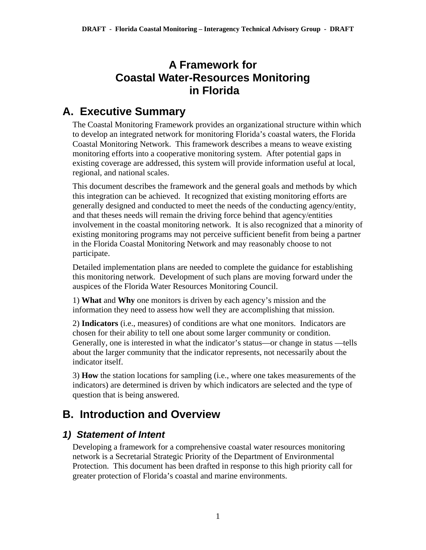## **A Framework for Coastal Water-Resources Monitoring in Florida**

# **A. Executive Summary**

The Coastal Monitoring Framework provides an organizational structure within which to develop an integrated network for monitoring Florida's coastal waters, the Florida Coastal Monitoring Network. This framework describes a means to weave existing monitoring efforts into a cooperative monitoring system. After potential gaps in existing coverage are addressed, this system will provide information useful at local, regional, and national scales.

This document describes the framework and the general goals and methods by which this integration can be achieved. It recognized that existing monitoring efforts are generally designed and conducted to meet the needs of the conducting agency/entity, and that theses needs will remain the driving force behind that agency/entities involvement in the coastal monitoring network. It is also recognized that a minority of existing monitoring programs may not perceive sufficient benefit from being a partner in the Florida Coastal Monitoring Network and may reasonably choose to not participate.

Detailed implementation plans are needed to complete the guidance for establishing this monitoring network. Development of such plans are moving forward under the auspices of the Florida Water Resources Monitoring Council.

1) **What** and **Why** one monitors is driven by each agency's mission and the information they need to assess how well they are accomplishing that mission.

2) **Indicators** (i.e., measures) of conditions are what one monitors. Indicators are chosen for their ability to tell one about some larger community or condition. Generally, one is interested in what the indicator's status—or change in status —tells about the larger community that the indicator represents, not necessarily about the indicator itself.

3) **How** the station locations for sampling (i.e., where one takes measurements of the indicators) are determined is driven by which indicators are selected and the type of question that is being answered.

## **B. Introduction and Overview**

### *1) Statement of Intent*

Developing a framework for a comprehensive coastal water resources monitoring network is a Secretarial Strategic Priority of the Department of Environmental Protection. This document has been drafted in response to this high priority call for greater protection of Florida's coastal and marine environments.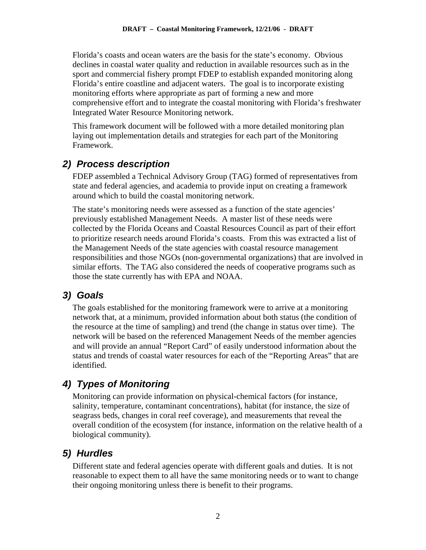Florida's coasts and ocean waters are the basis for the state's economy. Obvious declines in coastal water quality and reduction in available resources such as in the sport and commercial fishery prompt FDEP to establish expanded monitoring along Florida's entire coastline and adjacent waters. The goal is to incorporate existing monitoring efforts where appropriate as part of forming a new and more comprehensive effort and to integrate the coastal monitoring with Florida's freshwater Integrated Water Resource Monitoring network.

This framework document will be followed with a more detailed monitoring plan laying out implementation details and strategies for each part of the Monitoring Framework.

### *2) Process description*

FDEP assembled a Technical Advisory Group (TAG) formed of representatives from state and federal agencies, and academia to provide input on creating a framework around which to build the coastal monitoring network.

The state's monitoring needs were assessed as a function of the state agencies' previously established Management Needs. A master list of these needs were collected by the Florida Oceans and Coastal Resources Council as part of their effort to prioritize research needs around Florida's coasts. From this was extracted a list of the Management Needs of the state agencies with coastal resource management responsibilities and those NGOs (non-governmental organizations) that are involved in similar efforts. The TAG also considered the needs of cooperative programs such as those the state currently has with EPA and NOAA.

### *3) Goals*

The goals established for the monitoring framework were to arrive at a monitoring network that, at a minimum, provided information about both status (the condition of the resource at the time of sampling) and trend (the change in status over time). The network will be based on the referenced Management Needs of the member agencies and will provide an annual "Report Card" of easily understood information about the status and trends of coastal water resources for each of the "Reporting Areas" that are identified.

## *4) Types of Monitoring*

Monitoring can provide information on physical-chemical factors (for instance, salinity, temperature, contaminant concentrations), habitat (for instance, the size of seagrass beds, changes in coral reef coverage), and measurements that reveal the overall condition of the ecosystem (for instance, information on the relative health of a biological community).

## *5) Hurdles*

Different state and federal agencies operate with different goals and duties. It is not reasonable to expect them to all have the same monitoring needs or to want to change their ongoing monitoring unless there is benefit to their programs.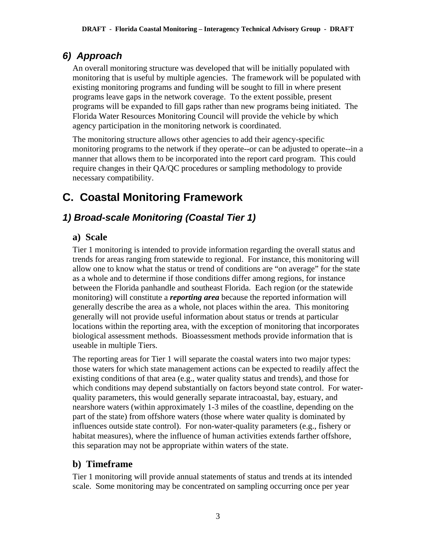## *6) Approach*

An overall monitoring structure was developed that will be initially populated with monitoring that is useful by multiple agencies. The framework will be populated with existing monitoring programs and funding will be sought to fill in where present programs leave gaps in the network coverage. To the extent possible, present programs will be expanded to fill gaps rather than new programs being initiated. The Florida Water Resources Monitoring Council will provide the vehicle by which agency participation in the monitoring network is coordinated.

The monitoring structure allows other agencies to add their agency-specific monitoring programs to the network if they operate--or can be adjusted to operate--in a manner that allows them to be incorporated into the report card program. This could require changes in their QA/QC procedures or sampling methodology to provide necessary compatibility.

# **C. Coastal Monitoring Framework**

## *1) Broad-scale Monitoring (Coastal Tier 1)*

#### **a) Scale**

Tier 1 monitoring is intended to provide information regarding the overall status and trends for areas ranging from statewide to regional. For instance, this monitoring will allow one to know what the status or trend of conditions are "on average" for the state as a whole and to determine if those conditions differ among regions, for instance between the Florida panhandle and southeast Florida. Each region (or the statewide monitoring) will constitute a *reporting area* because the reported information will generally describe the area as a whole, not places within the area. This monitoring generally will not provide useful information about status or trends at particular locations within the reporting area, with the exception of monitoring that incorporates biological assessment methods. Bioassessment methods provide information that is useable in multiple Tiers.

The reporting areas for Tier 1 will separate the coastal waters into two major types: those waters for which state management actions can be expected to readily affect the existing conditions of that area (e.g., water quality status and trends), and those for which conditions may depend substantially on factors beyond state control. For waterquality parameters, this would generally separate intracoastal, bay, estuary, and nearshore waters (within approximately 1-3 miles of the coastline, depending on the part of the state) from offshore waters (those where water quality is dominated by influences outside state control). For non-water-quality parameters (e.g., fishery or habitat measures), where the influence of human activities extends farther offshore, this separation may not be appropriate within waters of the state.

#### **b) Timeframe**

Tier 1 monitoring will provide annual statements of status and trends at its intended scale. Some monitoring may be concentrated on sampling occurring once per year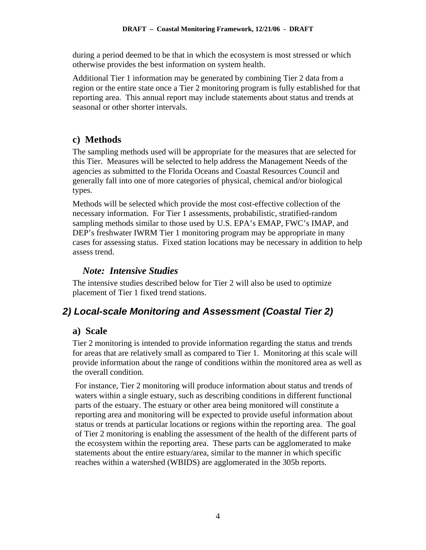during a period deemed to be that in which the ecosystem is most stressed or which otherwise provides the best information on system health.

Additional Tier 1 information may be generated by combining Tier 2 data from a region or the entire state once a Tier 2 monitoring program is fully established for that reporting area. This annual report may include statements about status and trends at seasonal or other shorter intervals.

#### **c) Methods**

The sampling methods used will be appropriate for the measures that are selected for this Tier. Measures will be selected to help address the Management Needs of the agencies as submitted to the Florida Oceans and Coastal Resources Council and generally fall into one of more categories of physical, chemical and/or biological types.

Methods will be selected which provide the most cost-effective collection of the necessary information. For Tier 1 assessments, probabilistic, stratified-random sampling methods similar to those used by U.S. EPA's EMAP, FWC's IMAP, and DEP's freshwater IWRM Tier 1 monitoring program may be appropriate in many cases for assessing status. Fixed station locations may be necessary in addition to help assess trend.

#### *Note: Intensive Studies*

The intensive studies described below for Tier 2 will also be used to optimize placement of Tier 1 fixed trend stations.

## *2) Local-scale Monitoring and Assessment (Coastal Tier 2)*

### **a) Scale**

Tier 2 monitoring is intended to provide information regarding the status and trends for areas that are relatively small as compared to Tier 1. Monitoring at this scale will provide information about the range of conditions within the monitored area as well as the overall condition.

For instance, Tier 2 monitoring will produce information about status and trends of waters within a single estuary, such as describing conditions in different functional parts of the estuary. The estuary or other area being monitored will constitute a reporting area and monitoring will be expected to provide useful information about status or trends at particular locations or regions within the reporting area. The goal of Tier 2 monitoring is enabling the assessment of the health of the different parts of the ecosystem within the reporting area. These parts can be agglomerated to make statements about the entire estuary/area, similar to the manner in which specific reaches within a watershed (WBIDS) are agglomerated in the 305b reports.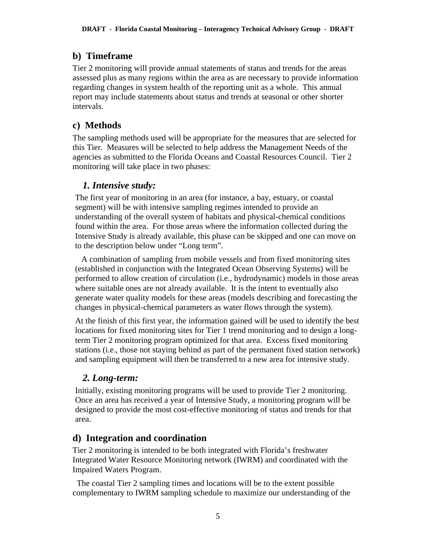#### **b) Timeframe**

Tier 2 monitoring will provide annual statements of status and trends for the areas assessed plus as many regions within the area as are necessary to provide information regarding changes in system health of the reporting unit as a whole. This annual report may include statements about status and trends at seasonal or other shorter intervals.

#### **c) Methods**

The sampling methods used will be appropriate for the measures that are selected for this Tier. Measures will be selected to help address the Management Needs of the agencies as submitted to the Florida Oceans and Coastal Resources Council. Tier 2 monitoring will take place in two phases:

#### *1. Intensive study:*

The first year of monitoring in an area (for instance, a bay, estuary, or coastal segment) will be with intensive sampling regimes intended to provide an understanding of the overall system of habitats and physical-chemical conditions found within the area. For those areas where the information collected during the Intensive Study is already available, this phase can be skipped and one can move on to the description below under "Long term".

 A combination of sampling from mobile vessels and from fixed monitoring sites (established in conjunction with the Integrated Ocean Observing Systems) will be performed to allow creation of circulation (i.e., hydrodynamic) models in those areas where suitable ones are not already available. It is the intent to eventually also generate water quality models for these areas (models describing and forecasting the changes in physical-chemical parameters as water flows through the system).

At the finish of this first year, the information gained will be used to identify the best locations for fixed monitoring sites for Tier 1 trend monitoring and to design a longterm Tier 2 monitoring program optimized for that area. Excess fixed monitoring stations (i.e., those not staying behind as part of the permanent fixed station network) and sampling equipment will then be transferred to a new area for intensive study.

#### *2. Long-term:*

Initially, existing monitoring programs will be used to provide Tier 2 monitoring. Once an area has received a year of Intensive Study, a monitoring program will be designed to provide the most cost-effective monitoring of status and trends for that area.

#### **d) Integration and coordination**

Tier 2 monitoring is intended to be both integrated with Florida's freshwater Integrated Water Resource Monitoring network (IWRM) and coordinated with the Impaired Waters Program.

 The coastal Tier 2 sampling times and locations will be to the extent possible complementary to IWRM sampling schedule to maximize our understanding of the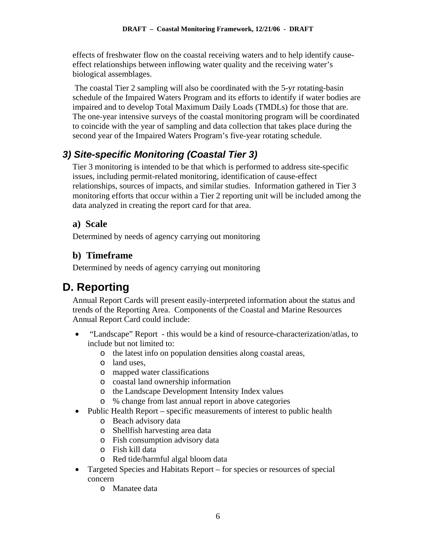effects of freshwater flow on the coastal receiving waters and to help identify causeeffect relationships between inflowing water quality and the receiving water's biological assemblages.

 The coastal Tier 2 sampling will also be coordinated with the 5-yr rotating-basin schedule of the Impaired Waters Program and its efforts to identify if water bodies are impaired and to develop Total Maximum Daily Loads (TMDLs) for those that are. The one-year intensive surveys of the coastal monitoring program will be coordinated to coincide with the year of sampling and data collection that takes place during the second year of the Impaired Waters Program's five-year rotating schedule.

## *3) Site-specific Monitoring (Coastal Tier 3)*

Tier 3 monitoring is intended to be that which is performed to address site-specific issues, including permit-related monitoring, identification of cause-effect relationships, sources of impacts, and similar studies. Information gathered in Tier 3 monitoring efforts that occur within a Tier 2 reporting unit will be included among the data analyzed in creating the report card for that area.

#### **a) Scale**

Determined by needs of agency carrying out monitoring

### **b) Timeframe**

Determined by needs of agency carrying out monitoring

# **D. Reporting**

Annual Report Cards will present easily-interpreted information about the status and trends of the Reporting Area. Components of the Coastal and Marine Resources Annual Report Card could include:

- "Landscape" Report this would be a kind of resource-characterization/atlas, to include but not limited to:
	- o the latest info on population densities along coastal areas,
	- o land uses,
	- o mapped water classifications
	- o coastal land ownership information
	- o the Landscape Development Intensity Index values
	- o % change from last annual report in above categories
- Public Health Report specific measurements of interest to public health
	- o Beach advisory data
	- o Shellfish harvesting area data
	- o Fish consumption advisory data
	- o Fish kill data
	- o Red tide/harmful algal bloom data
- Targeted Species and Habitats Report for species or resources of special concern
	- o Manatee data